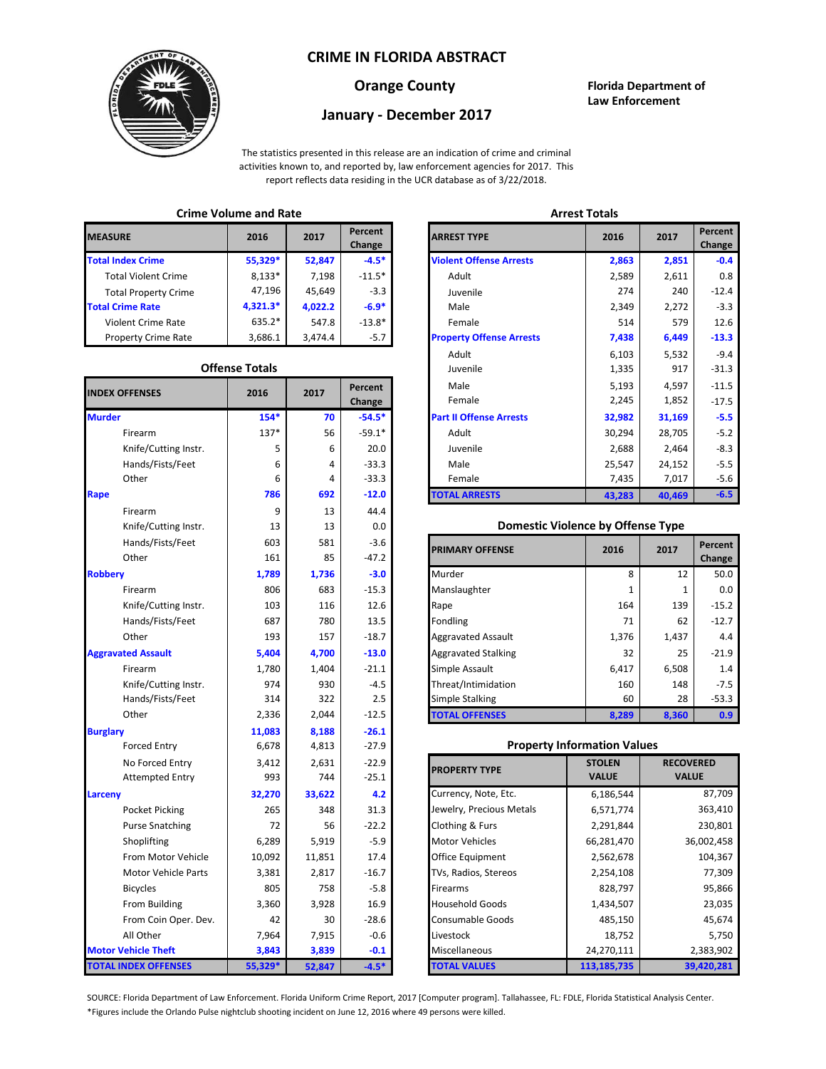# **CRIME IN FLORIDA ABSTRACT**



## **Orange County Florida Department of Law Enforcement**

# **January - December 2017**

The statistics presented in this release are an indication of crime and criminal activities known to, and reported by, law enforcement agencies for 2017. This report reflects data residing in the UCR database as of 3/22/2018.

# **Crime Volume and Rate Arrest Totals**

| <b>MEASURE</b>              | 2016       | 2017    | Percent<br>Change | <b>ARREST TYPE</b>             |
|-----------------------------|------------|---------|-------------------|--------------------------------|
| <b>Total Index Crime</b>    | 55,329*    | 52,847  | $-4.5*$           | <b>Violent Offense Arrests</b> |
| <b>Total Violent Crime</b>  | $8,133*$   | 7,198   | $-11.5*$          | Adult                          |
| <b>Total Property Crime</b> | 47,196     | 45,649  | $-3.3$            | Juvenile                       |
| <b>Total Crime Rate</b>     | $4.321.3*$ | 4.022.2 | $-6.9*$           | Male                           |
| Violent Crime Rate          | $635.2*$   | 547.8   | $-13.8*$          | Female                         |
| <b>Property Crime Rate</b>  | 3,686.1    | 3.474.4 | $-5.7$            | <b>Property Offense Arrest</b> |

### **Offense Totals**

| <b>INDEX OFFENSES</b>       | 2016    | 2017   | Percent<br>Change | Male<br>Female                           | 5,193<br>2,245 | 4,597<br>1,852   | $-11.5$<br>$-17.5$ |
|-----------------------------|---------|--------|-------------------|------------------------------------------|----------------|------------------|--------------------|
| <b>Murder</b>               | $154*$  | 70     | $-54.5*$          | <b>Part II Offense Arrests</b>           | 32,982         | 31,169           | $-5.5$             |
| Firearm                     | 137*    | 56     | $-59.1*$          | Adult                                    | 30,294         | 28,705           | $-5.2$             |
| Knife/Cutting Instr.        | 5       | 6      | 20.0              | Juvenile                                 | 2,688          | 2,464            | $-8.3$             |
| Hands/Fists/Feet            | 6       | 4      | $-33.3$           | Male                                     | 25,547         | 24,152           | $-5.5$             |
| Other                       | 6       | 4      | $-33.3$           | Female                                   | 7,435          | 7,017            | $-5.6$             |
| Rape                        | 786     | 692    | $-12.0$           | <b>TOTAL ARRESTS</b>                     | 43,283         | 40,469           | $-6.5$             |
| Firearm                     | 9       | 13     | 44.4              |                                          |                |                  |                    |
| Knife/Cutting Instr.        | 13      | 13     | 0.0               | <b>Domestic Violence by Offense Type</b> |                |                  |                    |
| Hands/Fists/Feet            | 603     | 581    | $-3.6$            | <b>PRIMARY OFFENSE</b>                   | 2016           | 2017             | Percent            |
| Other                       | 161     | 85     | $-47.2$           |                                          |                |                  | Change             |
| <b>Robbery</b>              | 1,789   | 1,736  | $-3.0$            | Murder                                   | 8              | 12               | 50.0               |
| Firearm                     | 806     | 683    | $-15.3$           | Manslaughter                             | 1              | 1                | 0.0                |
| Knife/Cutting Instr.        | 103     | 116    | 12.6              | Rape                                     | 164            | 139              | $-15.2$            |
| Hands/Fists/Feet            | 687     | 780    | 13.5              | Fondling                                 | 71             | 62               | $-12.7$            |
| Other                       | 193     | 157    | $-18.7$           | <b>Aggravated Assault</b>                | 1,376          | 1,437            | 4.4                |
| <b>Aggravated Assault</b>   | 5,404   | 4,700  | $-13.0$           | <b>Aggravated Stalking</b>               | 32             | 25               | $-21.9$            |
| Firearm                     | 1,780   | 1,404  | $-21.1$           | Simple Assault                           | 6,417          | 6,508            | 1.4                |
| Knife/Cutting Instr.        | 974     | 930    | $-4.5$            | Threat/Intimidation                      | 160            | 148              | $-7.5$             |
| Hands/Fists/Feet            | 314     | 322    | 2.5               | <b>Simple Stalking</b>                   | 60             | 28               | $-53.3$            |
| Other                       | 2,336   | 2,044  | $-12.5$           | <b>TOTAL OFFENSES</b>                    | 8,289          | 8,360            | 0.9                |
| <b>Burglary</b>             | 11,083  | 8,188  | $-26.1$           |                                          |                |                  |                    |
| <b>Forced Entry</b>         | 6,678   | 4,813  | $-27.9$           | <b>Property Information Values</b>       |                |                  |                    |
| No Forced Entry             | 3,412   | 2,631  | $-22.9$           | <b>PROPERTY TYPE</b>                     | <b>STOLEN</b>  | <b>RECOVERED</b> |                    |
| <b>Attempted Entry</b>      | 993     | 744    | $-25.1$           |                                          | <b>VALUE</b>   | <b>VALUE</b>     |                    |
| Larceny                     | 32,270  | 33,622 | 4.2               | Currency, Note, Etc.                     | 6,186,544      |                  | 87,709             |
| Pocket Picking              | 265     | 348    | 31.3              | Jewelry, Precious Metals                 | 6,571,774      |                  | 363,410            |
| <b>Purse Snatching</b>      | 72      | 56     | $-22.2$           | Clothing & Furs                          | 2,291,844      |                  | 230,801            |
| Shoplifting                 | 6,289   | 5,919  | $-5.9$            | <b>Motor Vehicles</b>                    | 66,281,470     |                  | 36,002,458         |
| From Motor Vehicle          | 10,092  | 11,851 | 17.4              | Office Equipment                         | 2,562,678      |                  | 104,367            |
| Motor Vehicle Parts         | 3,381   | 2,817  | $-16.7$           | TVs, Radios, Stereos                     | 2,254,108      |                  | 77,309             |
| <b>Bicycles</b>             | 805     | 758    | $-5.8$            | Firearms                                 | 828,797        |                  | 95,866             |
| From Building               | 3,360   | 3,928  | 16.9              | <b>Household Goods</b>                   | 1,434,507      |                  | 23,035             |
| From Coin Oper. Dev.        | 42      | 30     | $-28.6$           | Consumable Goods                         | 485,150        | 45,674           |                    |
| All Other                   | 7,964   | 7,915  | $-0.6$            | Livestock                                | 18,752         | 5,750            |                    |
| <b>Motor Vehicle Theft</b>  | 3,843   | 3,839  | $-0.1$            | Miscellaneous                            | 24,270,111     |                  | 2,383,902          |
| <b>TOTAL INDEX OFFENSES</b> | 55,329* | 52,847 | $-4.5*$           | <b>TOTAL VALUES</b>                      | 113, 185, 735  |                  | 39,420,281         |

|                      | 2016                  | 2017    | Percent<br>Change | <b>ARREST TYPE</b>              | 2016   | 2017   |  |
|----------------------|-----------------------|---------|-------------------|---------------------------------|--------|--------|--|
| dex Crime            | 55,329*               | 52,847  | $-4.5*$           | <b>Violent Offense Arrests</b>  | 2,863  | 2,851  |  |
| ıl Violent Crime     | $8,133*$              | 7,198   | $-11.5*$          | Adult                           | 2,589  | 2,611  |  |
| Il Property Crime    | 47,196                | 45,649  | $-3.3$            | Juvenile                        | 274    | 240    |  |
| me Rate              | $4,321.3*$            | 4,022.2 | $-6.9*$           | Male                            | 2,349  | 2,272  |  |
| ent Crime Rate       | 635.2*                | 547.8   | $-13.8*$          | Female                          | 514    | 579    |  |
| erty Crime Rate      | 3,686.1               | 3,474.4 | $-5.7$            | <b>Property Offense Arrests</b> | 7,438  | 6,449  |  |
|                      |                       |         |                   | Adult                           | 6,103  | 5,532  |  |
|                      | <b>Offense Totals</b> |         |                   | Juvenile                        | 1,335  | 917    |  |
| <b>FFENSES</b>       | 2016                  | 2017    | Percent           | Male                            | 5,193  | 4,597  |  |
|                      |                       |         | Change            | Female                          | 2,245  | 1,852  |  |
|                      | $154*$                | 70      | $-54.5*$          | <b>Part II Offense Arrests</b>  | 32,982 | 31,169 |  |
| Firearm              | $137*$                | 56      | $-59.1*$          | Adult                           | 30,294 | 28,705 |  |
| Knife/Cutting Instr. | 5                     | 6       | 20.0              | Juvenile                        | 2,688  | 2,464  |  |
| Hands/Fists/Feet     | 6                     | 4       | $-33.3$           | Male                            | 25,547 | 24,152 |  |
| Other                | 6                     | 4       | $-33.3$           | Female                          | 7,435  | 7,017  |  |
|                      | 786                   | 692     | $-12.0$           | <b>TOTAL ARRESTS</b>            | 43,283 | 40,469 |  |
|                      |                       |         |                   |                                 |        |        |  |

#### **Domestic Violence by Offense Type**

| Hands/Fists/Feet<br>Other | 603<br>161 | 581<br>85 | $-3.6$<br>$-47.2$ | <b>PRIMARY OFFENSE</b>     | 2016  | 2017  | Percent<br>Change |
|---------------------------|------------|-----------|-------------------|----------------------------|-------|-------|-------------------|
|                           | 1,789      | 1,736     | $-3.0$            | Murder                     | 8     | 12    | 50.0              |
| Firearm                   | 806        | 683       | $-15.3$           | Manslaughter               |       |       | 0.0               |
| Knife/Cutting Instr.      | 103        | 116       | 12.6              | Rape                       | 164   | 139   | $-15.2$           |
| Hands/Fists/Feet          | 687        | 780       | 13.5              | Fondling                   | 71    | 62    | $-12.7$           |
| Other                     | 193        | 157       | $-18.7$           | <b>Aggravated Assault</b>  | 1,376 | 1,437 | 4.4               |
| ted Assault               | 5,404      | 4,700     | $-13.0$           | <b>Aggravated Stalking</b> | 32    | 25    | $-21.9$           |
| Firearm                   | 1,780      | 1,404     | $-21.1$           | Simple Assault             | 6,417 | 6,508 | $1.4^{\circ}$     |
| Knife/Cutting Instr.      | 974        | 930       | $-4.5$            | Threat/Intimidation        | 160   | 148   | $-7.5$            |
| Hands/Fists/Feet          | 314        | 322       | 2.5               | <b>Simple Stalking</b>     | 60    | 28    | $-53.3$           |
| Other                     | 2,336      | 2,044     | $-12.5$           | <b>TOTAL OFFENSES</b>      | 8,289 | 8,360 | 0.9 <sub>1</sub>  |

#### **Property Information Values**

| 3,412  | 2,631  | $-22.9$ | <b>PROPERTY TYPE</b>     | <b>STOLEN</b> | <b>RECOVERED</b> |
|--------|--------|---------|--------------------------|---------------|------------------|
| 993    | 744    | $-25.1$ |                          | <b>VALUE</b>  | <b>VALUE</b>     |
| 32,270 | 33,622 | 4.2     | Currency, Note, Etc.     | 6,186,544     | 87,709           |
| 265    | 348    | 31.3    | Jewelry, Precious Metals | 6,571,774     | 363,410          |
| 72     | 56     | $-22.2$ | Clothing & Furs          | 2,291,844     | 230,801          |
| 6,289  | 5,919  | $-5.9$  | <b>Motor Vehicles</b>    | 66,281,470    | 36,002,458       |
| 10,092 | 11,851 | 17.4    | Office Equipment         | 2,562,678     | 104,367          |
| 3,381  | 2,817  | $-16.7$ | TVs, Radios, Stereos     | 2,254,108     | 77,309           |
| 805    | 758    | $-5.8$  | <b>Firearms</b>          | 828,797       | 95,866           |
| 3,360  | 3,928  | 16.9    | <b>Household Goods</b>   | 1,434,507     | 23,035           |
| 42     | 30     | $-28.6$ | <b>Consumable Goods</b>  | 485,150       | 45,674           |
| 7,964  | 7,915  | $-0.6$  | Livestock                | 18,752        | 5,750            |
| 3,843  | 3,839  | $-0.1$  | Miscellaneous            | 24,270,111    | 2,383,902        |
| 5,329* | 52,847 | $-4.5*$ | <b>TOTAL VALUES</b>      | 113,185,735   | 39,420,281       |

\*Figures include the Orlando Pulse nightclub shooting incident on June 12, 2016 where 49 persons were killed. SOURCE: Florida Department of Law Enforcement. Florida Uniform Crime Report, 2017 [Computer program]. Tallahassee, FL: FDLE, Florida Statistical Analysis Center.